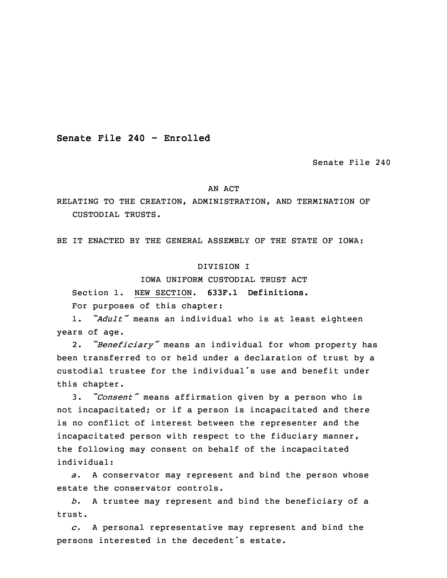**Senate File 240 - Enrolled**

Senate File 240

#### AN ACT

RELATING TO THE CREATION, ADMINISTRATION, AND TERMINATION OF CUSTODIAL TRUSTS.

BE IT ENACTED BY THE GENERAL ASSEMBLY OF THE STATE OF IOWA:

### DIVISION I

IOWA UNIFORM CUSTODIAL TRUST ACT

3 Section 1. NEW SECTION. **633F.1 Definitions.** For purposes of this chapter:

<sup>5</sup> 1. *"Adult"* means an individual who is at least eighteen years of age.

2. *"Beneficiary"* means an individual for whom property has been transferred to or held under a declaration of trust by a custodial trustee for the individual's use and benefit under this chapter.

 3. *"Consent"* means affirmation given by <sup>a</sup> person who is not incapacitated; or if <sup>a</sup> person is incapacitated and there is no conflict of interest between the representer and the incapacitated person with respect to the fiduciary manner, the following may consent on behalf of the incapacitated individual:

a. A conservator may represent and bind the person whose estate the conservator controls.

b. A trustee may represent and bind the beneficiary of a trust.

 *c.* <sup>A</sup> personal representative may represent and bind the persons interested in the decedent's estate.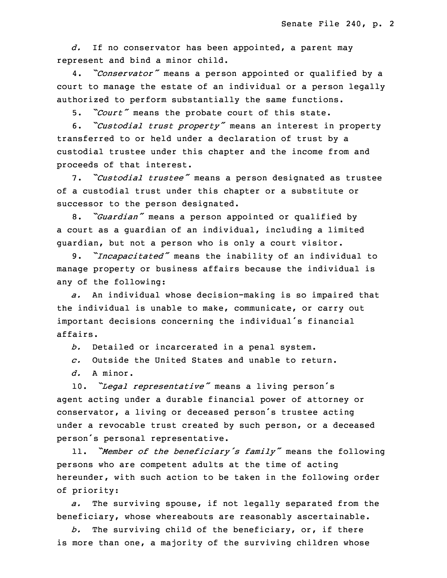d. If no conservator has been appointed, a parent may represent and bind <sup>a</sup> minor child.

<sup>25</sup> 4. *"Conservator"* means <sup>a</sup> person appointed or qualified by <sup>a</sup> court to manage the estate of an individual or a person legally authorized to perform substantially the same functions.

5. *"Court"* means the probate court of this state.

<sup>29</sup> 6. *"Custodial trust property"* means an interest in property transferred to or held under a declaration of trust by a custodial trustee under this chapter and the income from and proceeds of that interest.

<sup>33</sup> 7. *"Custodial trustee"* means <sup>a</sup> person designated as trustee of a custodial trust under this chapter or a substitute or successor to the person designated.

 8. *"Guardian"* means <sup>a</sup> person appointed or qualified by <sup>a</sup> court as <sup>a</sup> guardian of an individual, including <sup>a</sup> limited guardian, but not a person who is only a court visitor.

 9. *"Incapacitated"* means the inability of an individual to manage property or business affairs because the individual is any of the following:

a. An individual whose decision-making is so impaired that the individual is unable to make, communicate, or carry out important decisions concerning the individual's financial affairs.

*b.* Detailed or incarcerated in <sup>a</sup> penal system.

*c.* Outside the United States and unable to return.

d. A minor.

 10. *"Legal representative"* means <sup>a</sup> living person's agent acting under a durable financial power of attorney or conservator, a living or deceased person's trustee acting under a revocable trust created by such person, or a deceased person's personal representative.

<sup>19</sup> 11. *"Member of the beneficiary's family"* means the following persons who are competent adults at the time of acting hereunder, with such action to be taken in the following order of priority:

a. The surviving spouse, if not legally separated from the beneficiary, whose whereabouts are reasonably ascertainable.

25 *b.* The surviving child of the beneficiary, or, if there is more than one, a majority of the surviving children whose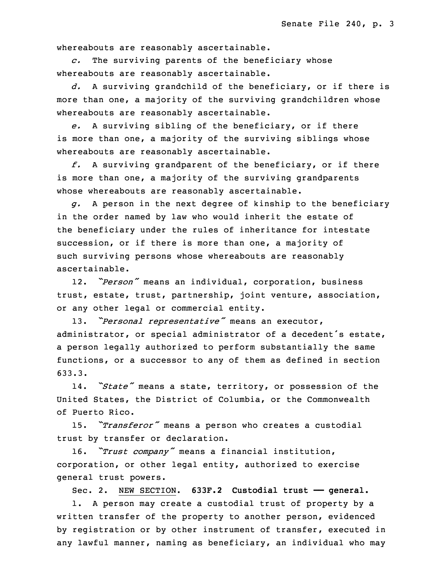whereabouts are reasonably ascertainable.

28 *c.* The surviving parents of the beneficiary whose whereabouts are reasonably ascertainable.

30 *d.* <sup>A</sup> surviving grandchild of the beneficiary, or if there is more than one, a majority of the surviving grandchildren whose whereabouts are reasonably ascertainable.

33 *e.* <sup>A</sup> surviving sibling of the beneficiary, or if there is more than one, a majority of the surviving siblings whose whereabouts are reasonably ascertainable.

 *f.* <sup>A</sup> surviving grandparent of the beneficiary, or if there is more than one, <sup>a</sup> majority of the surviving grandparents whose whereabouts are reasonably ascertainable.

 *g.* <sup>A</sup> person in the next degree of kinship to the beneficiary in the order named by law who would inherit the estate of the beneficiary under the rules of inheritance for intestate succession, or if there is more than one, a majority of such surviving persons whose whereabouts are reasonably ascertainable.

12. *"Person"* means an individual, corporation, business trust, estate, trust, partnership, joint venture, association, or any other legal or commercial entity.

<sup>13</sup> 13. *"Personal representative"* means an executor, administrator, or special administrator of <sup>a</sup> decedent's estate, a person legally authorized to perform substantially the same functions, or a successor to any of them as defined in section 633.3.

<sup>18</sup> 14. *"State"* means <sup>a</sup> state, territory, or possession of the United States, the District of Columbia, or the Commonwealth of Puerto Rico.

 15. *"Transferor"* means <sup>a</sup> person who creates <sup>a</sup> custodial trust by transfer or declaration.

<sup>23</sup> 16. *"Trust company"* means <sup>a</sup> financial institution, corporation, or other legal entity, authorized to exercise general trust powers.

26 Sec. 2. NEW SECTION. **633F.2 Custodial trust —— general.**

1. A person may create a custodial trust of property by a written transfer of the property to another person, evidenced by registration or by other instrument of transfer, executed in any lawful manner, naming as beneficiary, an individual who may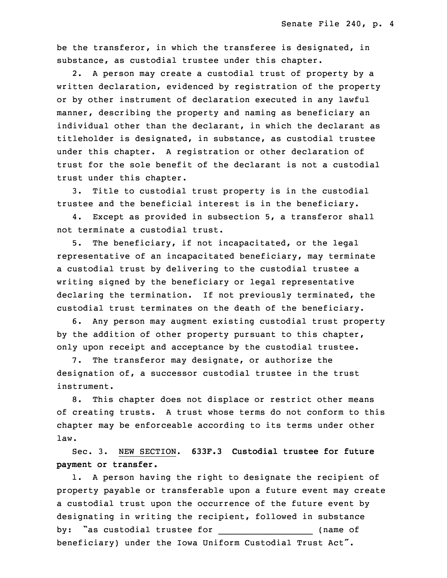be the transferor, in which the transferee is designated, in substance, as custodial trustee under this chapter.

2. A person may create a custodial trust of property by a written declaration, evidenced by registration of the property or by other instrument of declaration executed in any lawful manner, describing the property and naming as beneficiary an individual other than the declarant, in which the declarant as titleholder is designated, in substance, as custodial trustee under this chapter. <sup>A</sup> registration or other declaration of trust for the sole benefit of the declarant is not a custodial trust under this chapter.

3. Title to custodial trust property is in the custodial trustee and the beneficial interest is in the beneficiary.

4. Except as provided in subsection 5, a transferor shall not terminate a custodial trust.

 5. The beneficiary, if not incapacitated, or the legal representative of an incapacitated beneficiary, may terminate a custodial trust by delivering to the custodial trustee a writing signed by the beneficiary or legal representative declaring the termination. If not previously terminated, the custodial trust terminates on the death of the beneficiary.

6. Any person may augment existing custodial trust property by the addition of other property pursuant to this chapter, only upon receipt and acceptance by the custodial trustee.

7. The transferor may designate, or authorize the designation of, <sup>a</sup> successor custodial trustee in the trust instrument.

8. This chapter does not displace or restrict other means of creating trusts. <sup>A</sup> trust whose terms do not conform to this chapter may be enforceable according to its terms under other law.

27 Sec. 3. NEW SECTION. **633F.3 Custodial trustee for future** 28 **payment or transfer.**

1. A person having the right to designate the recipient of property payable or transferable upon a future event may create a custodial trust upon the occurrence of the future event by designating in writing the recipient, followed in substance by: "as custodial trustee for \_\_\_\_\_\_\_\_\_\_\_\_\_\_\_\_\_\_ (name of beneficiary) under the Iowa Uniform Custodial Trust Act".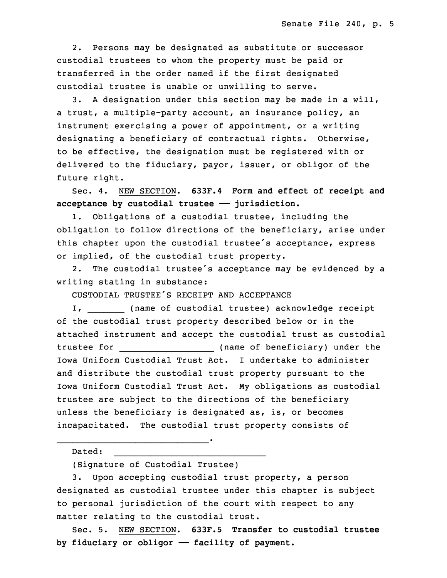2. Persons may be designated as substitute or successor custodial trustees to whom the property must be paid or transferred in the order named if the first designated custodial trustee is unable or unwilling to serve.

 3. <sup>A</sup> designation under this section may be made in <sup>a</sup> will, a trust, a multiple-party account, an insurance policy, an instrument exercising a power of appointment, or a writing designating a beneficiary of contractual rights. Otherwise, to be effective, the designation must be registered with or delivered to the fiduciary, payor, issuer, or obligor of the future right.

 Sec. 4. NEW SECTION. **633F.4 Form and effect of receipt and acceptance by custodial trustee —— jurisdiction.**

1. Obligations of a custodial trustee, including the obligation to follow directions of the beneficiary, arise under this chapter upon the custodial trustee's acceptance, express or implied, of the custodial trust property.

2. The custodial trustee's acceptance may be evidenced by a writing stating in substance:

19 CUSTODIAL TRUSTEE'S RECEIPT AND ACCEPTANCE

I, \_\_\_\_\_\_\_\_ (name of custodial trustee) acknowledge receipt of the custodial trust property described below or in the attached instrument and accept the custodial trust as custodial 23 trustee for \_\_\_\_\_\_\_\_\_\_\_\_\_\_\_\_\_\_ (name of beneficiary) under the Iowa Uniform Custodial Trust Act. I undertake to administer and distribute the custodial trust property pursuant to the 26 Iowa Uniform Custodial Trust Act. My obligations as custodial trustee are subject to the directions of the beneficiary unless the beneficiary is designated as, is, or becomes incapacitated. The custodial trust property consists of

Dated:

(Signature of Custodial Trustee)

 $\overline{\phantom{a}}$  , and the contribution of the contribution of the contribution of the contribution of the contribution of the contribution of the contribution of the contribution of the contribution of the contribution of the

 $\blacksquare$ 

3. Upon accepting custodial trust property, a person designated as custodial trustee under this chapter is subject to personal jurisdiction of the court with respect to any matter relating to the custodial trust.

 Sec. 5. NEW SECTION. **633F.5 Transfer to custodial trustee** 3 **by fiduciary or obligor —— facility of payment.**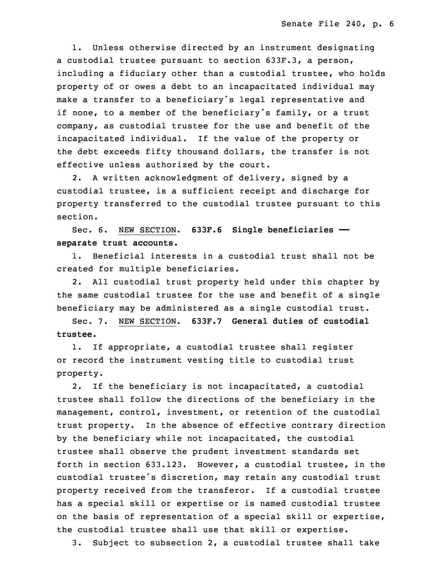1. Unless otherwise directed by an instrument designating a custodial trustee pursuant to section 633F.3, a person, including a fiduciary other than a custodial trustee, who holds property of or owes a debt to an incapacitated individual may make a transfer to a beneficiary's legal representative and if none, to a member of the beneficiary's family, or a trust company, as custodial trustee for the use and benefit of the incapacitated individual. If the value of the property or the debt exceeds fifty thousand dollars, the transfer is not effective unless authorized by the court.

 2. <sup>A</sup> written acknowledgment of delivery, signed by <sup>a</sup> custodial trustee, is a sufficient receipt and discharge for property transferred to the custodial trustee pursuant to this section.

18 Sec. 6. NEW SECTION. **633F.6 Single beneficiaries ——** 19 **separate trust accounts.**

1. Beneficial interests in a custodial trust shall not be created for multiple beneficiaries.

 2. All custodial trust property held under this chapter by the same custodial trustee for the use and benefit of a single beneficiary may be administered as <sup>a</sup> single custodial trust.

25 Sec. 7. NEW SECTION. **633F.7 General duties of custodial** 26 **trustee.**

1. If appropriate, a custodial trustee shall register or record the instrument vesting title to custodial trust property.

2. If the beneficiary is not incapacitated, a custodial trustee shall follow the directions of the beneficiary in the management, control, investment, or retention of the custodial trust property. In the absence of effective contrary direction by the beneficiary while not incapacitated, the custodial trustee shall observe the prudent investment standards set forth in section 633.123. However, <sup>a</sup> custodial trustee, in the custodial trustee's discretion, may retain any custodial trust property received from the transferor. If a custodial trustee has <sup>a</sup> special skill or expertise or is named custodial trustee on the basis of representation of a special skill or expertise, the custodial trustee shall use that skill or expertise.

3. Subject to subsection 2, a custodial trustee shall take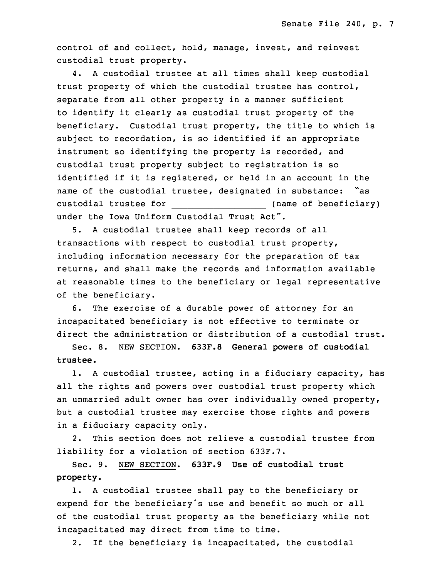control of and collect, hold, manage, invest, and reinvest custodial trust property.

4. A custodial trustee at all times shall keep custodial trust property of which the custodial trustee has control, separate from all other property in <sup>a</sup> manner sufficient to identify it clearly as custodial trust property of the beneficiary. Custodial trust property, the title to which is subject to recordation, is so identified if an appropriate instrument so identifying the property is recorded, and custodial trust property subject to registration is so identified if it is registered, or held in an account in the name of the custodial trustee, designated in substance: "as 20 custodial trustee for \_\_\_\_\_\_\_\_\_\_\_\_\_\_\_\_\_\_ (name of beneficiary) under the Iowa Uniform Custodial Trust Act".

 5. <sup>A</sup> custodial trustee shall keep records of all transactions with respect to custodial trust property, including information necessary for the preparation of tax returns, and shall make the records and information available at reasonable times to the beneficiary or legal representative of the beneficiary.

6. The exercise of a durable power of attorney for an incapacitated beneficiary is not effective to terminate or direct the administration or distribution of a custodial trust.

31 Sec. 8. NEW SECTION. **633F.8 General powers of custodial** 32 **trustee.**

1. A custodial trustee, acting in a fiduciary capacity, has all the rights and powers over custodial trust property which an unmarried adult owner has over individually owned property, but <sup>a</sup> custodial trustee may exercise those rights and powers in <sup>a</sup> fiduciary capacity only.

2. This section does not relieve a custodial trustee from liability for <sup>a</sup> violation of section 633F.7.

5 Sec. 9. NEW SECTION. **633F.9 Use of custodial trust** 6 **property.**

1. A custodial trustee shall pay to the beneficiary or expend for the beneficiary's use and benefit so much or all of the custodial trust property as the beneficiary while not incapacitated may direct from time to time.

2. If the beneficiary is incapacitated, the custodial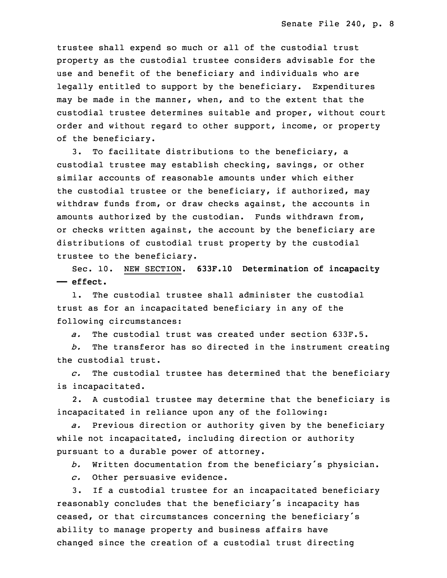trustee shall expend so much or all of the custodial trust property as the custodial trustee considers advisable for the use and benefit of the beneficiary and individuals who are legally entitled to support by the beneficiary. Expenditures may be made in the manner, when, and to the extent that the custodial trustee determines suitable and proper, without court order and without regard to other support, income, or property of the beneficiary.

3. To facilitate distributions to the beneficiary, a custodial trustee may establish checking, savings, or other similar accounts of reasonable amounts under which either the custodial trustee or the beneficiary, if authorized, may withdraw funds from, or draw checks against, the accounts in amounts authorized by the custodian. Funds withdrawn from, or checks written against, the account by the beneficiary are distributions of custodial trust property by the custodial trustee to the beneficiary.

29 Sec. 10. NEW SECTION. **633F.10 Determination of incapacity** 30 **—— effect.**

1. The custodial trustee shall administer the custodial trust as for an incapacitated beneficiary in any of the following circumstances:

34 *a.* The custodial trust was created under section 633F.5.

35 *b.* The transferor has so directed in the instrument creating the custodial trust.

 *c.* The custodial trustee has determined that the beneficiary is incapacitated.

 2. <sup>A</sup> custodial trustee may determine that the beneficiary is incapacitated in reliance upon any of the following:

a. Previous direction or authority given by the beneficiary while not incapacitated, including direction or authority pursuant to a durable power of attorney.

<sup>9</sup> *b.* Written documentation from the beneficiary's physician.

c. Other persuasive evidence.

 3. If <sup>a</sup> custodial trustee for an incapacitated beneficiary reasonably concludes that the beneficiary's incapacity has ceased, or that circumstances concerning the beneficiary's ability to manage property and business affairs have changed since the creation of a custodial trust directing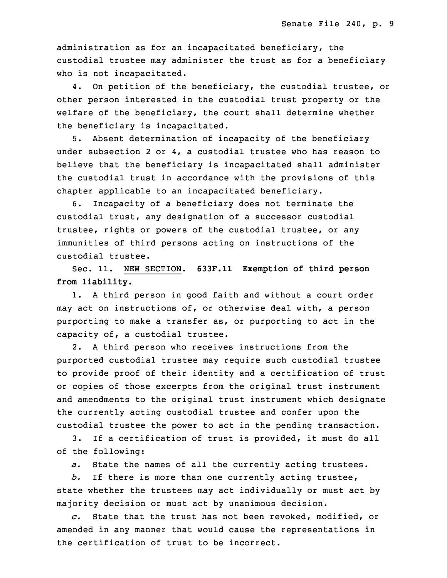administration as for an incapacitated beneficiary, the custodial trustee may administer the trust as for a beneficiary who is not incapacitated.

4. On petition of the beneficiary, the custodial trustee, or other person interested in the custodial trust property or the welfare of the beneficiary, the court shall determine whether the beneficiary is incapacitated.

5. Absent determination of incapacity of the beneficiary under subsection 2 or 4, <sup>a</sup> custodial trustee who has reason to believe that the beneficiary is incapacitated shall administer the custodial trust in accordance with the provisions of this chapter applicable to an incapacitated beneficiary.

6. Incapacity of a beneficiary does not terminate the custodial trust, any designation of a successor custodial trustee, rights or powers of the custodial trustee, or any immunities of third persons acting on instructions of the custodial trustee.

33 Sec. 11. NEW SECTION. **633F.11 Exemption of third person** 34 **from liability.**

1. A third person in good faith and without a court order may act on instructions of, or otherwise deal with, <sup>a</sup> person purporting to make <sup>a</sup> transfer as, or purporting to act in the capacity of, a custodial trustee.

 2. <sup>A</sup> third person who receives instructions from the purported custodial trustee may require such custodial trustee to provide proof of their identity and a certification of trust or copies of those excerpts from the original trust instrument and amendments to the original trust instrument which designate the currently acting custodial trustee and confer upon the custodial trustee the power to act in the pending transaction.

 3. If <sup>a</sup> certification of trust is provided, it must do all of the following:

a. State the names of all the currently acting trustees.

 *b.* If there is more than one currently acting trustee, state whether the trustees may act individually or must act by majority decision or must act by unanimous decision.

17 *c.* State that the trust has not been revoked, modified, or amended in any manner that would cause the representations in the certification of trust to be incorrect.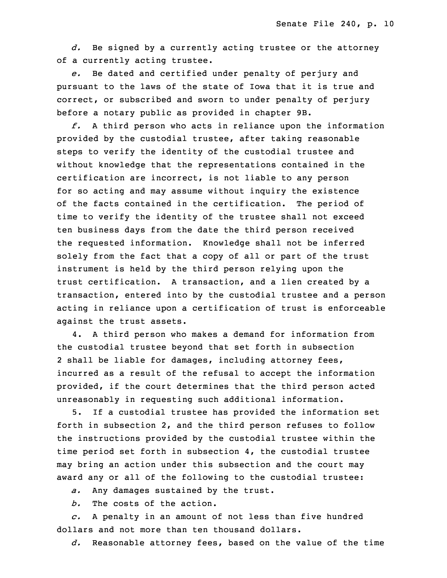d. Be signed by a currently acting trustee or the attorney of <sup>a</sup> currently acting trustee.

 *e.* Be dated and certified under penalty of perjury and pursuant to the laws of the state of Iowa that it is true and correct, or subscribed and sworn to under penalty of perjury before a notary public as provided in chapter 9B.

26 *f.* <sup>A</sup> third person who acts in reliance upon the information provided by the custodial trustee, after taking reasonable steps to verify the identity of the custodial trustee and without knowledge that the representations contained in the certification are incorrect, is not liable to any person for so acting and may assume without inquiry the existence of the facts contained in the certification. The period of time to verify the identity of the trustee shall not exceed ten business days from the date the third person received the requested information. Knowledge shall not be inferred solely from the fact that <sup>a</sup> copy of all or part of the trust instrument is held by the third person relying upon the trust certification. A transaction, and a lien created by a transaction, entered into by the custodial trustee and <sup>a</sup> person acting in reliance upon a certification of trust is enforceable against the trust assets.

4. A third person who makes a demand for information from the custodial trustee beyond that set forth in subsection 2 shall be liable for damages, including attorney fees, incurred as a result of the refusal to accept the information provided, if the court determines that the third person acted unreasonably in requesting such additional information.

5. If a custodial trustee has provided the information set forth in subsection 2, and the third person refuses to follow the instructions provided by the custodial trustee within the time period set forth in subsection  $4$ , the custodial trustee may bring an action under this subsection and the court may award any or all of the following to the custodial trustee:

a. Any damages sustained by the trust.

b. The costs of the action.

 *c.* <sup>A</sup> penalty in an amount of not less than five hundred dollars and not more than ten thousand dollars.

23 *d.* Reasonable attorney fees, based on the value of the time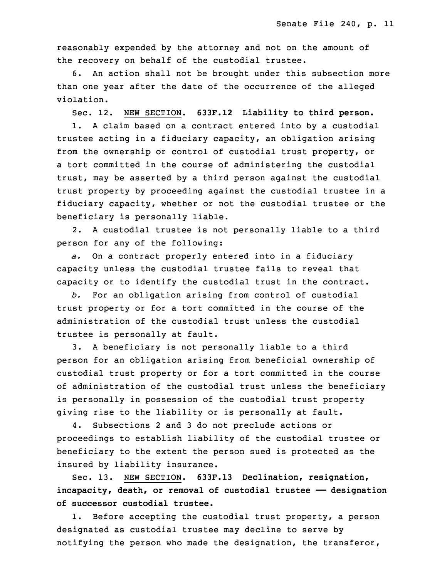reasonably expended by the attorney and not on the amount of the recovery on behalf of the custodial trustee.

6. An action shall not be brought under this subsection more than one year after the date of the occurrence of the alleged violation.

29 Sec. 12. NEW SECTION. **633F.12 Liability to third person.**

1. A claim based on a contract entered into by a custodial trustee acting in a fiduciary capacity, an obligation arising from the ownership or control of custodial trust property, or a tort committed in the course of administering the custodial trust, may be asserted by a third person against the custodial trust property by proceeding against the custodial trustee in a fiduciary capacity, whether or not the custodial trustee or the beneficiary is personally liable.

2. A custodial trustee is not personally liable to a third person for any of the following:

5 *a.* On <sup>a</sup> contract properly entered into in <sup>a</sup> fiduciary capacity unless the custodial trustee fails to reveal that capacity or to identify the custodial trust in the contract.

8 *b.* For an obligation arising from control of custodial trust property or for a tort committed in the course of the administration of the custodial trust unless the custodial trustee is personally at fault.

 3. <sup>A</sup> beneficiary is not personally liable to <sup>a</sup> third person for an obligation arising from beneficial ownership of custodial trust property or for <sup>a</sup> tort committed in the course of administration of the custodial trust unless the beneficiary is personally in possession of the custodial trust property giving rise to the liability or is personally at fault.

4. Subsections 2 and 3 do not preclude actions or 19 proceedings to establish liability of the custodial trustee or beneficiary to the extent the person sued is protected as the insured by liability insurance.

 Sec. 13. NEW SECTION. **633F.13 Declination, resignation,** 23 **incapacity, death, or removal of custodial trustee —— designation of successor custodial trustee.**

1. Before accepting the custodial trust property, a person designated as custodial trustee may decline to serve by notifying the person who made the designation, the transferor,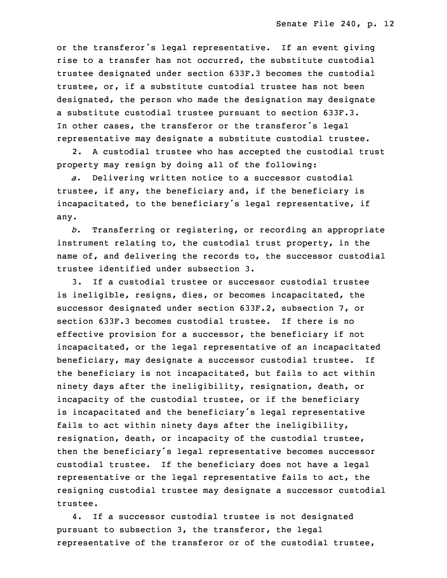or the transferor's legal representative. If an event giving rise to a transfer has not occurred, the substitute custodial trustee designated under section 633F.3 becomes the custodial trustee, or, if a substitute custodial trustee has not been designated, the person who made the designation may designate a substitute custodial trustee pursuant to section 633F.3. In other cases, the transferor or the transferor's legal representative may designate a substitute custodial trustee.

 2. <sup>A</sup> custodial trustee who has accepted the custodial trust property may resign by doing all of the following:

a. Delivering written notice to a successor custodial trustee, if any, the beneficiary and, if the beneficiary is incapacitated, to the beneficiary's legal representative, if any.

b. Transferring or registering, or recording an appropriate instrument relating to, the custodial trust property, in the name of, and delivering the records to, the successor custodial trustee identified under subsection 3.

 3. If <sup>a</sup> custodial trustee or successor custodial trustee is ineligible, resigns, dies, or becomes incapacitated, the successor designated under section 633F.2, subsection 7, or section 633F.3 becomes custodial trustee. If there is no effective provision for a successor, the beneficiary if not incapacitated, or the legal representative of an incapacitated beneficiary, may designate a successor custodial trustee. If the beneficiary is not incapacitated, but fails to act within ninety days after the ineligibility, resignation, death, or incapacity of the custodial trustee, or if the beneficiary is incapacitated and the beneficiary's legal representative fails to act within ninety days after the ineligibility, resignation, death, or incapacity of the custodial trustee, then the beneficiary's legal representative becomes successor custodial trustee. If the beneficiary does not have a legal representative or the legal representative fails to act, the resigning custodial trustee may designate a successor custodial trustee.

4. If a successor custodial trustee is not designated pursuant to subsection 3, the transferor, the legal representative of the transferor or of the custodial trustee,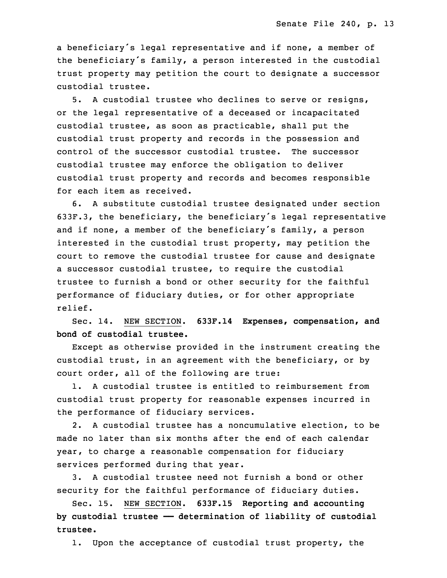a beneficiary's legal representative and if none, a member of the beneficiary's family, a person interested in the custodial trust property may petition the court to designate a successor custodial trustee.

 5. <sup>A</sup> custodial trustee who declines to serve or resigns, or the legal representative of <sup>a</sup> deceased or incapacitated custodial trustee, as soon as practicable, shall put the custodial trust property and records in the possession and control of the successor custodial trustee. The successor custodial trustee may enforce the obligation to deliver custodial trust property and records and becomes responsible for each item as received.

6. A substitute custodial trustee designated under section 633F.3, the beneficiary, the beneficiary's legal representative and if none, <sup>a</sup> member of the beneficiary's family, <sup>a</sup> person interested in the custodial trust property, may petition the court to remove the custodial trustee for cause and designate <sup>a</sup> successor custodial trustee, to require the custodial trustee to furnish a bond or other security for the faithful performance of fiduciary duties, or for other appropriate relief.

18 Sec. 14. NEW SECTION. **633F.14 Expenses, compensation, and** 19 **bond of custodial trustee.**

Except as otherwise provided in the instrument creating the custodial trust, in an agreement with the beneficiary, or by court order, all of the following are true:

1. A custodial trustee is entitled to reimbursement from custodial trust property for reasonable expenses incurred in the performance of fiduciary services.

2. A custodial trustee has a noncumulative election, to be made no later than six months after the end of each calendar year, to charge a reasonable compensation for fiduciary services performed during that year.

3. A custodial trustee need not furnish a bond or other security for the faithful performance of fiduciary duties.

32 Sec. 15. NEW SECTION. **633F.15 Reporting and accounting** 33 **by custodial trustee —— determination of liability of custodial** 34 **trustee.**

1. Upon the acceptance of custodial trust property, the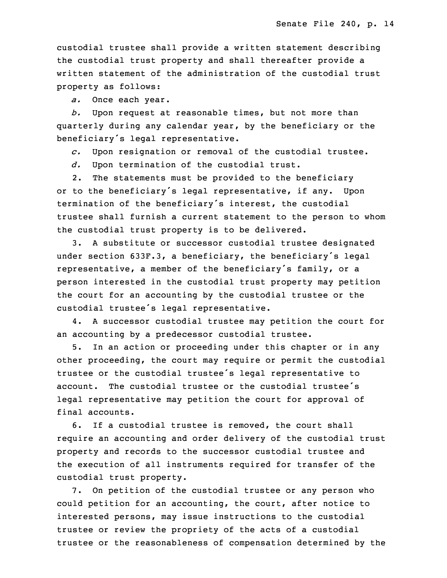custodial trustee shall provide <sup>a</sup> written statement describing the custodial trust property and shall thereafter provide <sup>a</sup> written statement of the administration of the custodial trust property as follows:

5 *a.* Once each year.

6 *b.* Upon request at reasonable times, but not more than quarterly during any calendar year, by the beneficiary or the beneficiary's legal representative.

9 *c.* Upon resignation or removal of the custodial trustee.

d. Upon termination of the custodial trust.

 2. The statements must be provided to the beneficiary or to the beneficiary's legal representative, if any. Upon termination of the beneficiary's interest, the custodial trustee shall furnish <sup>a</sup> current statement to the person to whom the custodial trust property is to be delivered.

3. A substitute or successor custodial trustee designated under section 633F.3, a beneficiary, the beneficiary's legal representative, a member of the beneficiary's family, or a person interested in the custodial trust property may petition the court for an accounting by the custodial trustee or the custodial trustee's legal representative.

 4. <sup>A</sup> successor custodial trustee may petition the court for an accounting by a predecessor custodial trustee.

 5. In an action or proceeding under this chapter or in any other proceeding, the court may require or permit the custodial trustee or the custodial trustee's legal representative to account. The custodial trustee or the custodial trustee's legal representative may petition the court for approval of final accounts.

6. If a custodial trustee is removed, the court shall require an accounting and order delivery of the custodial trust property and records to the successor custodial trustee and the execution of all instruments required for transfer of the custodial trust property.

7. On petition of the custodial trustee or any person who could petition for an accounting, the court, after notice to interested persons, may issue instructions to the custodial trustee or review the propriety of the acts of a custodial trustee or the reasonableness of compensation determined by the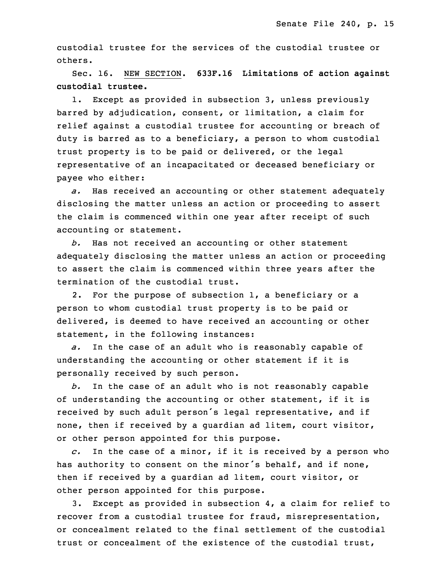custodial trustee for the services of the custodial trustee or others.

7 Sec. 16. NEW SECTION. **633F.16 Limitations of action against** 8 **custodial trustee.**

1. Except as provided in subsection 3, unless previously barred by adjudication, consent, or limitation, a claim for relief against <sup>a</sup> custodial trustee for accounting or breach of duty is barred as to <sup>a</sup> beneficiary, <sup>a</sup> person to whom custodial trust property is to be paid or delivered, or the legal representative of an incapacitated or deceased beneficiary or payee who either:

a. Has received an accounting or other statement adequately disclosing the matter unless an action or proceeding to assert the claim is commenced within one year after receipt of such accounting or statement.

b. Has not received an accounting or other statement adequately disclosing the matter unless an action or proceeding to assert the claim is commenced within three years after the termination of the custodial trust.

 2. For the purpose of subsection 1, <sup>a</sup> beneficiary or <sup>a</sup> person to whom custodial trust property is to be paid or delivered, is deemed to have received an accounting or other statement, in the following instances:

a. In the case of an adult who is reasonably capable of understanding the accounting or other statement if it is personally received by such person.

31 *b.* In the case of an adult who is not reasonably capable of understanding the accounting or other statement, if it is received by such adult person's legal representative, and if none, then if received by a guardian ad litem, court visitor, or other person appointed for this purpose.

 *c.* In the case of <sup>a</sup> minor, if it is received by <sup>a</sup> person who has authority to consent on the minor's behalf, and if none, then if received by a guardian ad litem, court visitor, or other person appointed for this purpose.

5 3. Except as provided in subsection 4, <sup>a</sup> claim for relief to recover from a custodial trustee for fraud, misrepresentation, or concealment related to the final settlement of the custodial trust or concealment of the existence of the custodial trust,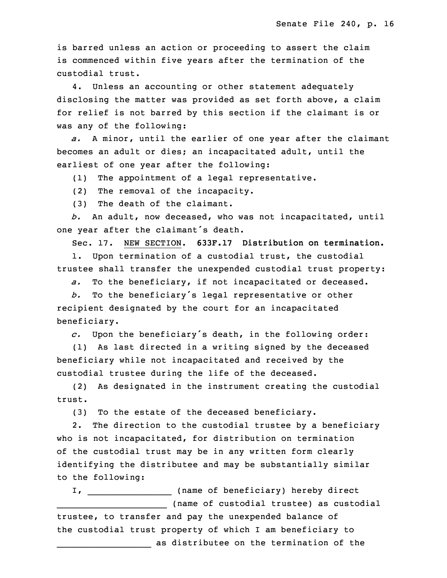is barred unless an action or proceeding to assert the claim is commenced within five years after the termination of the custodial trust.

 4. Unless an accounting or other statement adequately disclosing the matter was provided as set forth above, a claim for relief is not barred by this section if the claimant is or was any of the following:

a. A minor, until the earlier of one year after the claimant becomes an adult or dies; an incapacitated adult, until the earliest of one year after the following:

(1) The appointment of a legal representative.

(2) The removal of the incapacity.

(3) The death of the claimant.

 *b.* An adult, now deceased, who was not incapacitated, until one year after the claimant's death.

Sec. 17. NEW SECTION. **633F.17 Distribution on termination.**

1. Upon termination of a custodial trust, the custodial trustee shall transfer the unexpended custodial trust property:

a. To the beneficiary, if not incapacitated or deceased.

<sup>28</sup> *b.* To the beneficiary's legal representative or other recipient designated by the court for an incapacitated beneficiary.

<sup>31</sup> *c.* Upon the beneficiary's death, in the following order:

(1) As last directed in a writing signed by the deceased beneficiary while not incapacitated and received by the custodial trustee during the life of the deceased.

(2) As designated in the instrument creating the custodial trust.

(3) To the estate of the deceased beneficiary.

2. The direction to the custodial trustee by a beneficiary who is not incapacitated, for distribution on termination of the custodial trust may be in any written form clearly identifying the distributee and may be substantially similar to the following:

I, \_\_\_\_\_\_\_\_\_\_\_\_\_\_\_\_\_\_ (name of beneficiary) hereby direct (name of custodial trustee) as custodial trustee, to transfer and pay the unexpended balance of the custodial trust property of which <sup>I</sup> am beneficiary to as distributee on the termination of the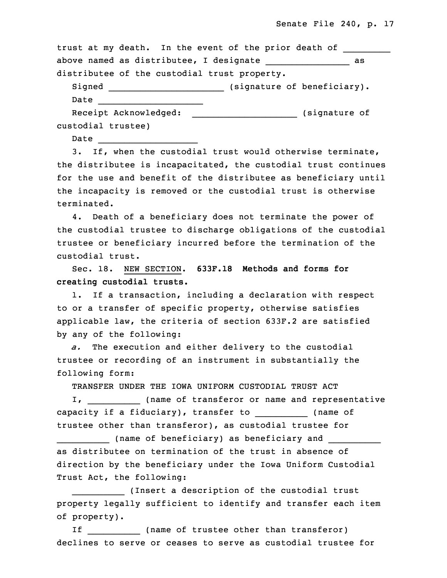| trust at my death. In the event of the prior death of |    |
|-------------------------------------------------------|----|
| above named as distributee, I designate               | as |
| distributee of the custodial trust property.          |    |
| (signature of beneficiary).<br>Signed                 |    |
| Date                                                  |    |
| Receipt Acknowledged:<br>(signature of                |    |
| custodial trustee)                                    |    |

Date

\_\_\_\_\_\_\_\_\_\_\_\_\_\_\_\_\_\_\_

 3. If, when the custodial trust would otherwise terminate, the distributee is incapacitated, the custodial trust continues for the use and benefit of the distributee as beneficiary until the incapacity is removed or the custodial trust is otherwise terminated.

4. Death of a beneficiary does not terminate the power of the custodial trustee to discharge obligations of the custodial trustee or beneficiary incurred before the termination of the custodial trust.

30 Sec. 18. NEW SECTION. **633F.18 Methods and forms for** 31 **creating custodial trusts.**

1. If a transaction, including a declaration with respect to or a transfer of specific property, otherwise satisfies applicable law, the criteria of section 633F.2 are satisfied by any of the following:

 *a.* The execution and either delivery to the custodial trustee or recording of an instrument in substantially the following form:

TRANSFER UNDER THE IOWA UNIFORM CUSTODIAL TRUST ACT

I, \_\_\_\_\_\_\_\_\_\_\_\_\_ (name of transferor or name and representative capacity if a fiduciary), transfer to \_\_\_\_\_\_\_\_\_\_\_ (name of trustee other than transferor), as custodial trustee for

(name of beneficiary) as beneficiary and as distributee on termination of the trust in absence of direction by the beneficiary under the Iowa Uniform Custodial Trust Act, the following:

(Insert a description of the custodial trust property legally sufficient to identify and transfer each item of property).

15 If \_\_\_\_\_\_\_\_\_\_ (name of trustee other than transferor) declines to serve or ceases to serve as custodial trustee for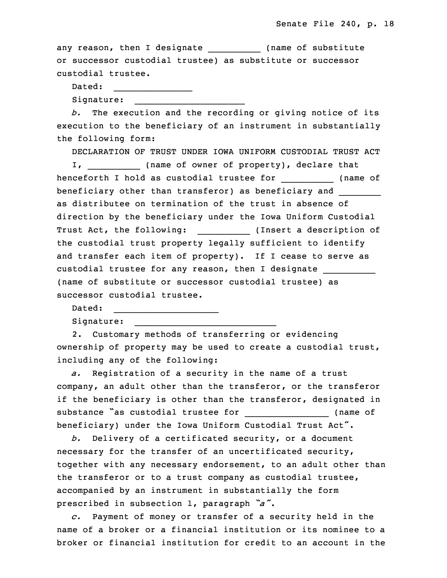any reason, then I designate \_\_\_\_\_\_\_\_\_\_\_\_ (name of substitute or successor custodial trustee) as substitute or successor custodial trustee.

 $\overline{\phantom{a}}$  , and the contribution of the contribution of the contribution of the contribution of the contribution of the contribution of the contribution of the contribution of the contribution of the contribution of the

Dated:  $\frac{1}{2}$  , and the set of the set of the set of the set of the set of the set of the set of the set of the set of the set of the set of the set of the set of the set of the set of the set of the set of the set of the set Signature:

 *b.* The execution and the recording or giving notice of its execution to the beneficiary of an instrument in substantially the following form:

25 DECLARATION OF TRUST UNDER IOWA UNIFORM CUSTODIAL TRUST ACT I, \_\_\_\_\_\_\_\_\_\_\_\_\_ (name of owner of property), declare that henceforth I hold as custodial trustee for \_\_\_\_\_\_\_\_\_\_\_\_ (name of beneficiary other than transferor) as beneficiary and \_\_\_\_\_\_\_\_\_ as distributee on termination of the trust in absence of direction by the beneficiary under the Iowa Uniform Custodial Trust Act, the following: \_\_\_\_\_\_\_\_\_\_\_\_ (Insert a description of the custodial trust property legally sufficient to identify and transfer each item of property). If I cease to serve as custodial trustee for any reason, then I designate \_\_\_\_\_\_\_\_\_\_ (name of substitute or successor custodial trustee) as successor custodial trustee.

Dated:

Signature:

 2. Customary methods of transferring or evidencing ownership of property may be used to create a custodial trust, including any of the following:

 $\overline{\phantom{a}}$  , and the contribution of the contribution of the contribution of the contribution of the contribution of the contribution of the contribution of the contribution of the contribution of the contribution of the

\_\_\_\_\_\_\_\_\_\_\_\_\_\_\_\_\_\_\_\_

a. Registration of a security in the name of a trust company, an adult other than the transferor, or the transferor if the beneficiary is other than the transferor, designated in substance "as custodial trustee for \_\_\_\_\_\_\_\_\_\_\_\_\_\_\_\_\_\_ (name of beneficiary) under the Iowa Uniform Custodial Trust Act".

 *b.* Delivery of <sup>a</sup> certificated security, or <sup>a</sup> document necessary for the transfer of an uncertificated security, together with any necessary endorsement, to an adult other than the transferor or to a trust company as custodial trustee, accompanied by an instrument in substantially the form prescribed in subsection 1, paragraph  $\tilde{a}$ .

18 *c.* Payment of money or transfer of <sup>a</sup> security held in the name of a broker or a financial institution or its nominee to a broker or financial institution for credit to an account in the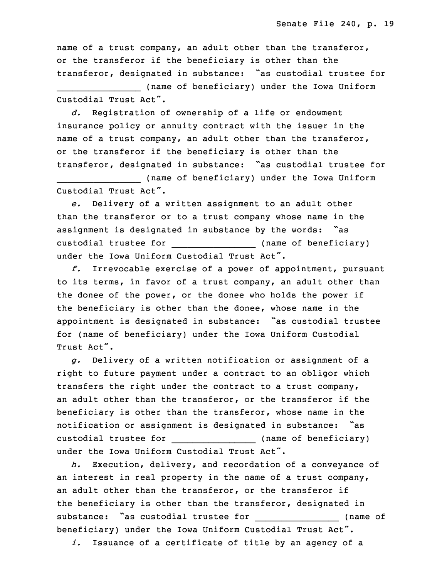name of <sup>a</sup> trust company, an adult other than the transferor, or the transferor if the beneficiary is other than the transferor, designated in substance: "as custodial trustee for

(name of beneficiary) under the Iowa Uniform Custodial Trust Act".

d. Registration of ownership of a life or endowment insurance policy or annuity contract with the issuer in the name of a trust company, an adult other than the transferor, or the transferor if the beneficiary is other than the transferor, designated in substance: "as custodial trustee for

\_\_\_\_\_\_\_\_\_\_\_\_\_\_\_\_ (name of beneficiary) under the Iowa Uniform Custodial Trust Act".

33 *e.* Delivery of <sup>a</sup> written assignment to an adult other than the transferor or to a trust company whose name in the assignment is designated in substance by the words: "as custodial trustee for (name of beneficiary) under the Iowa Uniform Custodial Trust Act".

3 *f.* Irrevocable exercise of <sup>a</sup> power of appointment, pursuant to its terms, in favor of <sup>a</sup> trust company, an adult other than the donee of the power, or the donee who holds the power if the beneficiary is other than the donee, whose name in the appointment is designated in substance: "as custodial trustee for (name of beneficiary) under the Iowa Uniform Custodial Trust Act".

10 *g.* Delivery of <sup>a</sup> written notification or assignment of <sup>a</sup> right to future payment under <sup>a</sup> contract to an obligor which transfers the right under the contract to <sup>a</sup> trust company, an adult other than the transferor, or the transferor if the beneficiary is other than the transferor, whose name in the notification or assignment is designated in substance: "as custodial trustee for \_\_\_\_\_\_\_\_\_\_\_\_\_\_\_\_\_\_\_\_\_ (name of beneficiary) under the Iowa Uniform Custodial Trust Act".

h. Execution, delivery, and recordation of a conveyance of an interest in real property in the name of a trust company, an adult other than the transferor, or the transferor if the beneficiary is other than the transferor, designated in substance: "as custodial trustee for \_\_\_\_\_\_\_\_\_\_\_\_\_\_\_\_\_ (name of beneficiary) under the Iowa Uniform Custodial Trust Act". *i.* Issuance of <sup>a</sup> certificate of title by an agency of <sup>a</sup>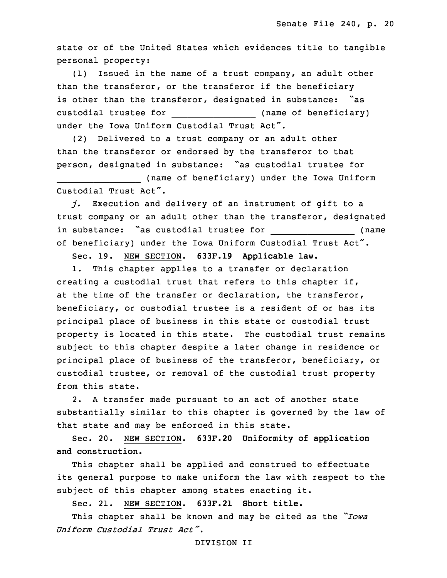state or of the United States which evidences title to tangible personal property:

 $(1)$  Issued in the name of a trust company, an adult other than the transferor, or the transferor if the beneficiary is other than the transferor, designated in substance: "as custodial trustee for \_\_\_\_\_\_\_\_\_\_\_\_\_\_\_\_\_\_\_\_\_\_\_\_\_ (name of beneficiary) under the Iowa Uniform Custodial Trust Act".

(2) Delivered to a trust company or an adult other than the transferor or endorsed by the transferor to that person, designated in substance: "as custodial trustee for

\_\_\_\_\_\_\_\_\_\_\_\_\_\_\_\_ (name of beneficiary) under the Iowa Uniform Custodial Trust Act".

 *j.* Execution and delivery of an instrument of gift to <sup>a</sup> trust company or an adult other than the transferor, designated in substance: "as custodial trustee for \_\_\_\_\_\_\_\_\_\_\_\_\_\_\_\_ (name of beneficiary) under the Iowa Uniform Custodial Trust Act".

6 Sec. 19. NEW SECTION. **633F.19 Applicable law.**

1. This chapter applies to a transfer or declaration creating a custodial trust that refers to this chapter if, at the time of the transfer or declaration, the transferor, beneficiary, or custodial trustee is a resident of or has its principal place of business in this state or custodial trust property is located in this state. The custodial trust remains subject to this chapter despite a later change in residence or principal place of business of the transferor, beneficiary, or custodial trustee, or removal of the custodial trust property from this state.

2. A transfer made pursuant to an act of another state substantially similar to this chapter is governed by the law of that state and may be enforced in this state.

20 Sec. 20. NEW SECTION. **633F.20 Uniformity of application and construction.**

 This chapter shall be applied and construed to effectuate its general purpose to make uniform the law with respect to the subject of this chapter among states enacting it.

25 Sec. 21. NEW SECTION. **633F.21 Short title.**

<sup>26</sup> This chapter shall be known and may be cited as the *"Iowa* 27 *Uniform Custodial Trust Act"*.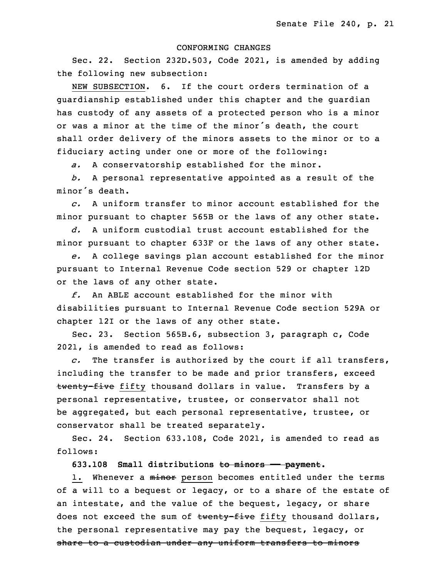#### 29 CONFORMING CHANGES

Sec. 22. Section 232D.503, Code 2021, is amended by adding the following new subsection:

NEW SUBSECTION. 6. If the court orders termination of a guardianship established under this chapter and the guardian has custody of any assets of a protected person who is a minor or was a minor at the time of the minor's death, the court shall order delivery of the minors assets to the minor or to <sup>a</sup> fiduciary acting under one or more of the following:

a. A conservatorship established for the minor.

 *b.* <sup>A</sup> personal representative appointed as <sup>a</sup> result of the minor's death.

6 *c.* A uniform transfer to minor account established for the minor pursuant to chapter 565B or the laws of any other state.

8 *d.* A uniform custodial trust account established for the minor pursuant to chapter 633F or the laws of any other state.

e. A college savings plan account established for the minor pursuant to Internal Revenue Code section 529 or chapter 12D or the laws of any other state.

13 *f.* An ABLE account established for the minor with disabilities pursuant to Internal Revenue Code section 529A or chapter 12I or the laws of any other state.

Sec. 23. Section 565B.6, subsection 3, paragraph c, Code 2021, is amended to read as follows:

c. The transfer is authorized by the court if all transfers, including the transfer to be made and prior transfers, exceed twenty-five fifty thousand dollars in value. Transfers by a personal representative, trustee, or conservator shall not be aggregated, but each personal representative, trustee, or conservator shall be treated separately.

 Sec. 24. Section 633.108, Code 2021, is amended to read as follows:

26 **633.108 Small distributions to minors —— payment.**

1. Whenever a minor person becomes entitled under the terms of a will to a bequest or legacy, or to a share of the estate of an intestate, and the value of the bequest, legacy, or share does not exceed the sum of twenty-five fifty thousand dollars, the personal representative may pay the bequest, legacy, or share to a custodian under any uniform transfers to minors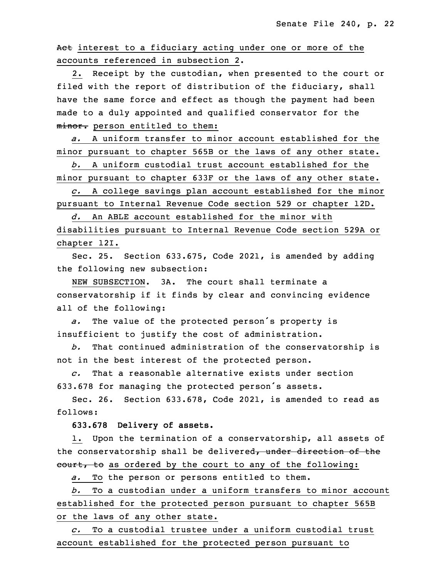Act interest to a fiduciary acting under one or more of the accounts referenced in subsection 2.

2. Receipt by the custodian, when presented to the court or filed with the report of distribution of the fiduciary, shall have the same force and effect as though the payment had been made to a duly appointed and qualified conservator for the minor. person entitled to them:

5 *a.* A uniform transfer to minor account established for the minor pursuant to chapter 565B or the laws of any other state.

7 *b.* A uniform custodial trust account established for the minor pursuant to chapter 633F or the laws of any other state.

9 *c.* <sup>A</sup> college savings plan account established for the minor pursuant to Internal Revenue Code section 529 or chapter 12D.

 *d.* An ABLE account established for the minor with disabilities pursuant to Internal Revenue Code section 529A or 13 chapter 12I.

 Sec. 25. Section 633.675, Code 2021, is amended by adding the following new subsection:

NEW SUBSECTION. 3A. The court shall terminate a conservatorship if it finds by clear and convincing evidence all of the following:

a. The value of the protected person's property is insufficient to justify the cost of administration.

 *b.* That continued administration of the conservatorship is not in the best interest of the protected person.

23 *c.* That <sup>a</sup> reasonable alternative exists under section 633.678 for managing the protected person's assets.

Sec. 26. Section 633.678, Code 2021, is amended to read as follows:

27 **633.678 Delivery of assets.**

1. Upon the termination of a conservatorship, all assets of the conservatorship shall be delivered, under direction of the eourt, to as ordered by the court to any of the following:

a. To the person or persons entitled to them.

32 *b.* To <sup>a</sup> custodian under <sup>a</sup> uniform transfers to minor account established for the protected person pursuant to chapter 565B or the laws of any other state.

35 *c.* To <sup>a</sup> custodial trustee under <sup>a</sup> uniform custodial trust account established for the protected person pursuant to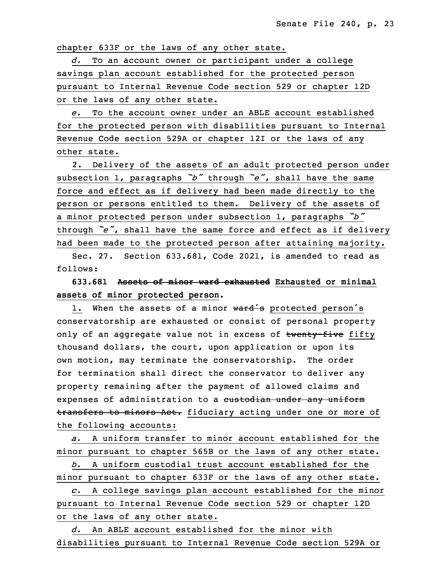chapter 633F or the laws of any other state.

3 *d.* To an account owner or participant under <sup>a</sup> college savings plan account established for the protected person 5 pursuant to Internal Revenue Code section 529 or chapter 12D or the laws of any other state.

7 *e.* To the account owner under an ABLE account established for the protected person with disabilities pursuant to Internal Revenue Code section 529A or chapter 12I or the laws of any other state.

 2. Delivery of the assets of an adult protected person under subsection 1, paragraphs *"b"* through *"e"*, shall have the same force and effect as if delivery had been made directly to the person or persons entitled to them. Delivery of the assets of a minor protected person under subsection 1, paragraphs  $\tilde{D}$ through "e", shall have the same force and effect as if delivery had been made to the protected person after attaining majority.

Sec. 27. Section 633.681, Code 2021, is amended to read as follows:

## 20 **633.681 Assets of minor ward exhausted Exhausted or minimal assets of minor protected person.**

1. When the assets of a minor ward's protected person's conservatorship are exhausted or consist of personal property only of an aggregate value not in excess of twenty-five fifty thousand dollars, the court, upon application or upon its own motion, may terminate the conservatorship. The order for termination shall direct the conservator to deliver any property remaining after the payment of allowed claims and expenses of administration to a custodian under any uniform transfers to minors Act. fiduciary acting under one or more of the following accounts:

a. A uniform transfer to minor account established for the minor pursuant to chapter 565B or the laws of any other state.

34 *b.* A uniform custodial trust account established for the minor pursuant to chapter 633F or the laws of any other state.

36 *c.* <sup>A</sup> college savings plan account established for the minor pursuant to Internal Revenue Code section 529 or chapter 12D or the laws of any other state.

39 *d.* An ABLE account established for the minor with disabilities pursuant to Internal Revenue Code section 529A or